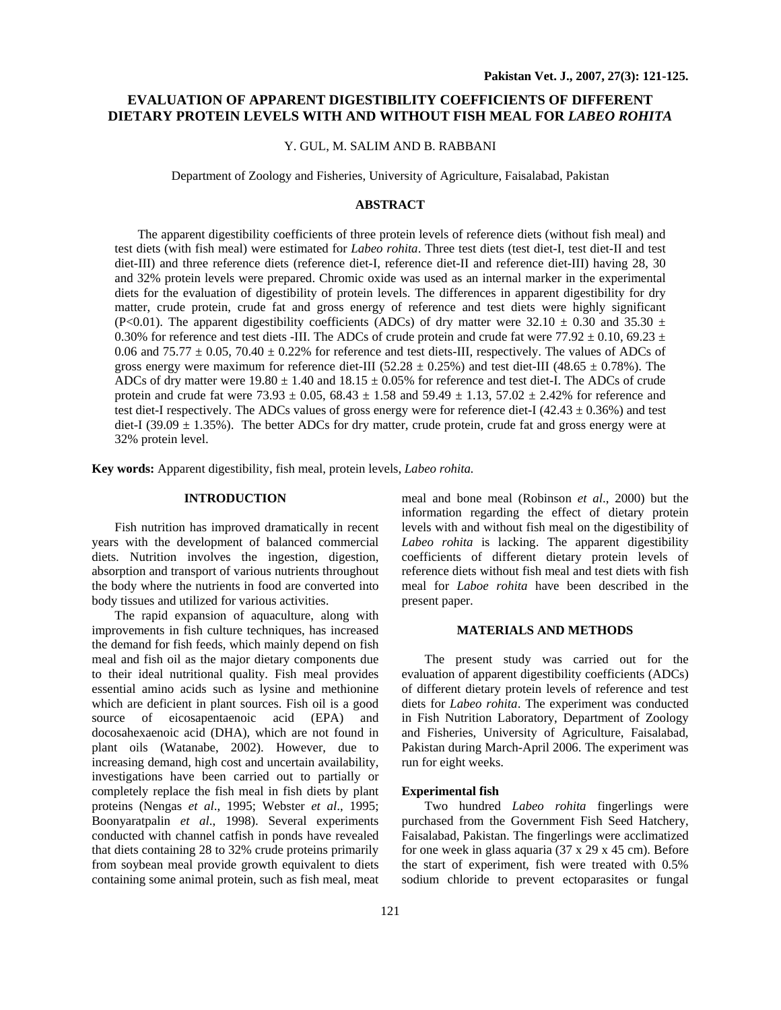# **EVALUATION OF APPARENT DIGESTIBILITY COEFFICIENTS OF DIFFERENT DIETARY PROTEIN LEVELS WITH AND WITHOUT FISH MEAL FOR** *LABEO ROHITA*

## Y. GUL, M. SALIM AND B. RABBANI

Department of Zoology and Fisheries, University of Agriculture, Faisalabad, Pakistan

#### **ABSTRACT**

The apparent digestibility coefficients of three protein levels of reference diets (without fish meal) and test diets (with fish meal) were estimated for *Labeo rohita*. Three test diets (test diet-I, test diet-II and test diet-III) and three reference diets (reference diet-I, reference diet-II and reference diet-III) having 28, 30 and 32% protein levels were prepared. Chromic oxide was used as an internal marker in the experimental diets for the evaluation of digestibility of protein levels. The differences in apparent digestibility for dry matter, crude protein, crude fat and gross energy of reference and test diets were highly significant (P<0.01). The apparent digestibility coefficients (ADCs) of dry matter were  $32.10 \pm 0.30$  and  $35.30 \pm 1.0$ 0.30% for reference and test diets -III. The ADCs of crude protein and crude fat were 77.92  $\pm$  0.10, 69.23  $\pm$ 0.06 and 75.77  $\pm$  0.05, 70.40  $\pm$  0.22% for reference and test diets-III, respectively. The values of ADCs of gross energy were maximum for reference diet-III (52.28  $\pm$  0.25%) and test diet-III (48.65  $\pm$  0.78%). The ADCs of dry matter were  $19.80 \pm 1.40$  and  $18.15 \pm 0.05\%$  for reference and test diet-I. The ADCs of crude protein and crude fat were  $73.93 \pm 0.05$ ,  $68.43 \pm 1.58$  and  $59.49 \pm 1.13$ ,  $57.02 \pm 2.42\%$  for reference and test diet-I respectively. The ADCs values of gross energy were for reference diet-I (42.43  $\pm$  0.36%) and test diet-I (39.09  $\pm$  1.35%). The better ADCs for dry matter, crude protein, crude fat and gross energy were at 32% protein level.

**Key words:** Apparent digestibility, fish meal, protein levels, *Labeo rohita.* 

# **INTRODUCTION**

Fish nutrition has improved dramatically in recent years with the development of balanced commercial diets. Nutrition involves the ingestion, digestion, absorption and transport of various nutrients throughout the body where the nutrients in food are converted into body tissues and utilized for various activities.

The rapid expansion of aquaculture, along with improvements in fish culture techniques, has increased the demand for fish feeds, which mainly depend on fish meal and fish oil as the major dietary components due to their ideal nutritional quality. Fish meal provides essential amino acids such as lysine and methionine which are deficient in plant sources. Fish oil is a good source of eicosapentaenoic acid (EPA) and docosahexaenoic acid (DHA), which are not found in plant oils (Watanabe, 2002). However, due to increasing demand, high cost and uncertain availability, investigations have been carried out to partially or completely replace the fish meal in fish diets by plant proteins (Nengas *et al*., 1995; Webster *et al*., 1995; Boonyaratpalin *et al*., 1998). Several experiments conducted with channel catfish in ponds have revealed that diets containing 28 to 32% crude proteins primarily from soybean meal provide growth equivalent to diets containing some animal protein, such as fish meal, meat

meal and bone meal (Robinson *et al*., 2000) but the information regarding the effect of dietary protein levels with and without fish meal on the digestibility of *Labeo rohita* is lacking. The apparent digestibility coefficients of different dietary protein levels of reference diets without fish meal and test diets with fish meal for *Laboe rohita* have been described in the present paper.

## **MATERIALS AND METHODS**

The present study was carried out for the evaluation of apparent digestibility coefficients (ADCs) of different dietary protein levels of reference and test diets for *Labeo rohita*. The experiment was conducted in Fish Nutrition Laboratory, Department of Zoology and Fisheries, University of Agriculture, Faisalabad, Pakistan during March-April 2006. The experiment was run for eight weeks.

### **Experimental fish**

Two hundred *Labeo rohita* fingerlings were purchased from the Government Fish Seed Hatchery, Faisalabad, Pakistan. The fingerlings were acclimatized for one week in glass aquaria (37 x 29 x 45 cm). Before the start of experiment, fish were treated with 0.5% sodium chloride to prevent ectoparasites or fungal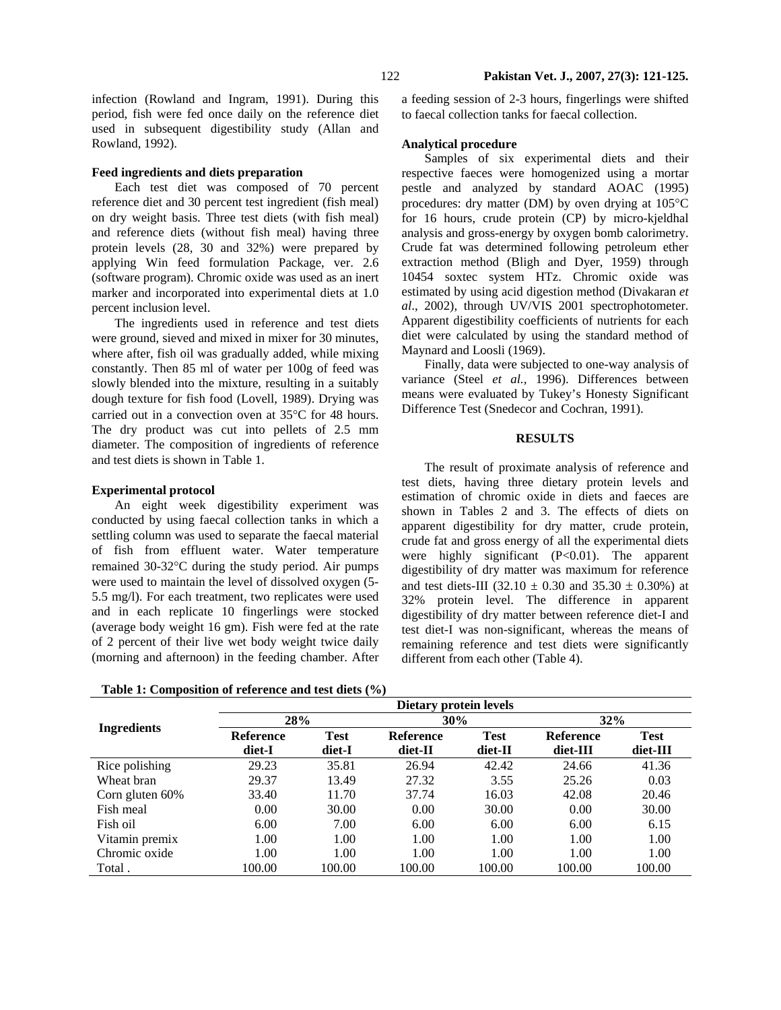infection (Rowland and Ingram, 1991). During this period, fish were fed once daily on the reference diet used in subsequent digestibility study (Allan and Rowland, 1992).

# **Feed ingredients and diets preparation**

Each test diet was composed of 70 percent reference diet and 30 percent test ingredient (fish meal) on dry weight basis. Three test diets (with fish meal) and reference diets (without fish meal) having three protein levels (28, 30 and 32%) were prepared by applying Win feed formulation Package, ver. 2.6 (software program). Chromic oxide was used as an inert marker and incorporated into experimental diets at 1.0 percent inclusion level.

The ingredients used in reference and test diets were ground, sieved and mixed in mixer for 30 minutes, where after, fish oil was gradually added, while mixing constantly. Then 85 ml of water per 100g of feed was slowly blended into the mixture, resulting in a suitably dough texture for fish food (Lovell, 1989). Drying was carried out in a convection oven at 35°C for 48 hours. The dry product was cut into pellets of 2.5 mm diameter. The composition of ingredients of reference and test diets is shown in Table 1.

#### **Experimental protocol**

An eight week digestibility experiment was conducted by using faecal collection tanks in which a settling column was used to separate the faecal material of fish from effluent water. Water temperature remained 30-32°C during the study period. Air pumps were used to maintain the level of dissolved oxygen (5- 5.5 mg/l). For each treatment, two replicates were used and in each replicate 10 fingerlings were stocked (average body weight 16 gm). Fish were fed at the rate of 2 percent of their live wet body weight twice daily (morning and afternoon) in the feeding chamber. After

**Table 1: Composition of reference and test diets (%)** 

a feeding session of 2-3 hours, fingerlings were shifted to faecal collection tanks for faecal collection.

### **Analytical procedure**

Samples of six experimental diets and their respective faeces were homogenized using a mortar pestle and analyzed by standard AOAC (1995) procedures: dry matter (DM) by oven drying at 105°C for 16 hours, crude protein (CP) by micro-kjeldhal analysis and gross-energy by oxygen bomb calorimetry. Crude fat was determined following petroleum ether extraction method (Bligh and Dyer, 1959) through 10454 soxtec system HTz. Chromic oxide was estimated by using acid digestion method (Divakaran *et al*., 2002), through UV/VIS 2001 spectrophotometer. Apparent digestibility coefficients of nutrients for each diet were calculated by using the standard method of Maynard and Loosli (1969).

Finally, data were subjected to one-way analysis of variance (Steel *et al.,* 1996). Differences between means were evaluated by Tukey's Honesty Significant Difference Test (Snedecor and Cochran, 1991).

#### **RESULTS**

The result of proximate analysis of reference and test diets, having three dietary protein levels and estimation of chromic oxide in diets and faeces are shown in Tables 2 and 3. The effects of diets on apparent digestibility for dry matter, crude protein, crude fat and gross energy of all the experimental diets were highly significant (P<0.01). The apparent digestibility of dry matter was maximum for reference and test diets-III (32.10  $\pm$  0.30 and 35.30  $\pm$  0.30%) at 32% protein level. The difference in apparent digestibility of dry matter between reference diet-I and test diet-I was non-significant, whereas the means of remaining reference and test diets were significantly different from each other (Table 4).

|                    | $\cdots$<br>Dietary protein levels |             |                  |             |                  |             |  |  |
|--------------------|------------------------------------|-------------|------------------|-------------|------------------|-------------|--|--|
|                    | 28%                                |             | 30%              |             | 32%              |             |  |  |
| <b>Ingredients</b> | <b>Reference</b>                   | <b>Test</b> | <b>Reference</b> | <b>Test</b> | <b>Reference</b> | <b>Test</b> |  |  |
|                    | diet-I                             | diet-I      | diet-II          | diet-II     | diet-III         | diet-III    |  |  |
| Rice polishing     | 29.23                              | 35.81       | 26.94            | 42.42       | 24.66            | 41.36       |  |  |
| Wheat bran         | 29.37                              | 13.49       | 27.32            | 3.55        | 25.26            | 0.03        |  |  |
| Corn gluten 60%    | 33.40                              | 11.70       | 37.74            | 16.03       | 42.08            | 20.46       |  |  |
| Fish meal          | 0.00                               | 30.00       | 0.00             | 30.00       | 0.00             | 30.00       |  |  |
| Fish oil           | 6.00                               | 7.00        | 6.00             | 6.00        | 6.00             | 6.15        |  |  |
| Vitamin premix     | 1.00                               | 1.00        | 1.00             | 1.00        | 1.00             | 1.00        |  |  |
| Chromic oxide      | 1.00                               | 1.00        | 1.00             | 1.00        | 1.00             | 1.00        |  |  |
| Total.             | 100.00                             | 100.00      | 100.00           | 100.00      | 100.00           | 100.00      |  |  |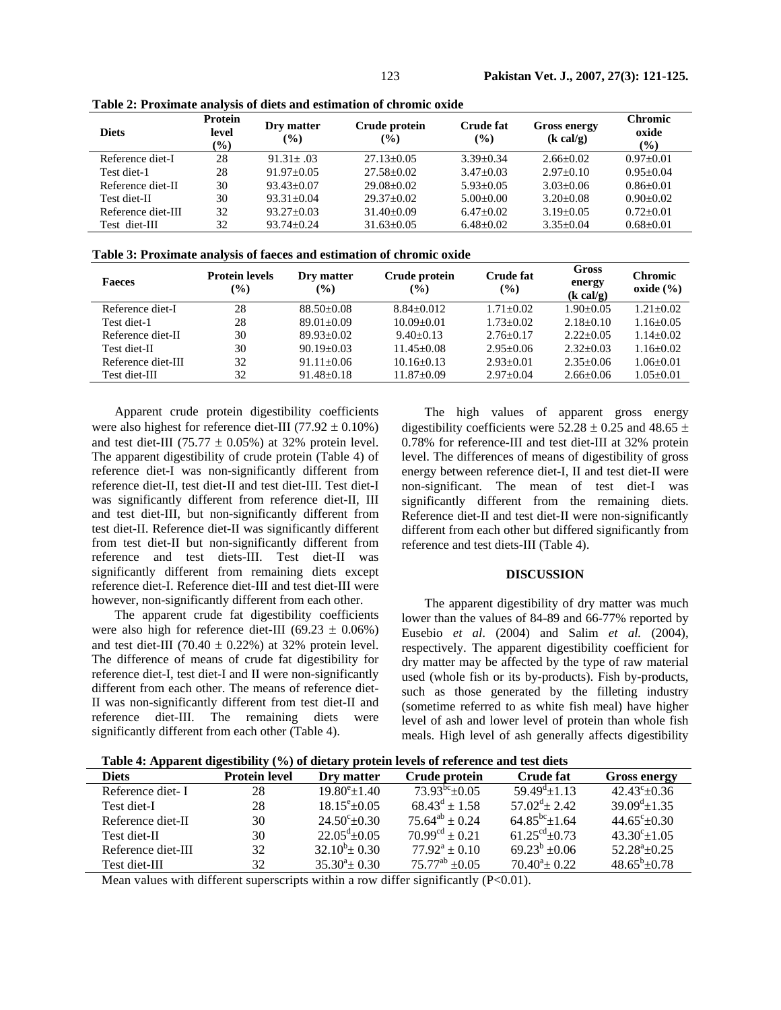| <b>Diets</b>       | Protein<br>level<br>$\left( \frac{0}{0} \right)$ | Dry matter<br>$\frac{9}{6}$ | Crude protein<br>$\frac{9}{6}$ | <b>Crude fat</b><br>$\frac{9}{6}$ | <b>Gross energy</b><br>$(k \text{ cal/g})$ | <b>Chromic</b><br>oxide<br>$\left( \frac{0}{0} \right)$ |
|--------------------|--------------------------------------------------|-----------------------------|--------------------------------|-----------------------------------|--------------------------------------------|---------------------------------------------------------|
| Reference diet-I   | 28                                               | $91.31 + .03$               | $27.13 + 0.05$                 | $3.39 + 0.34$                     | $2.66+0.02$                                | $0.97+0.01$                                             |
| Test diet-1        | 28                                               | $91.97+0.05$                | $27.58 + 0.02$                 | $3.47 + 0.03$                     | $2.97+0.10$                                | $0.95 + 0.04$                                           |
| Reference diet-II  | 30                                               | $93.43 + 0.07$              | $29.08 + 0.02$                 | $5.93+0.05$                       | $3.03 + 0.06$                              | $0.86 + 0.01$                                           |
| Test diet-II       | 30                                               | $93.31 + 0.04$              | $29.37+0.02$                   | $5.00+0.00$                       | $3.20 + 0.08$                              | $0.90 + 0.02$                                           |
| Reference diet-III | 32                                               | $93.27+0.03$                | $31.40 + 0.09$                 | $6.47 \pm 0.02$                   | $3.19 + 0.05$                              | $0.72 + 0.01$                                           |
| Test diet-III      | 32                                               | $93.74 + 0.24$              | $31.63 \pm 0.05$               | $6.48 \pm 0.02$                   | $3.35 \pm 0.04$                            | $0.68 \pm 0.01$                                         |

**Table 2: Proximate analysis of diets and estimation of chromic oxide** 

| Table 3: Proximate analysis of faeces and estimation of chromic oxide |  |  |
|-----------------------------------------------------------------------|--|--|
|                                                                       |  |  |

| <b>Faeces</b>      | <b>Protein levels</b><br>$\binom{0}{0}$ | Dry matter<br>$\frac{9}{6}$ | Crude protein<br>$\frac{9}{0}$ | <b>Crude fat</b><br>$\left(\frac{0}{0}\right)$ | Gross<br>energy<br>$(k \text{ cal/g})$ | <b>Chromic</b><br>oxide $(\% )$ |
|--------------------|-----------------------------------------|-----------------------------|--------------------------------|------------------------------------------------|----------------------------------------|---------------------------------|
| Reference diet-I   | 28                                      | $88.50 + 0.08$              | $8.84 + 0.012$                 | $1.71 + 0.02$                                  | $1.90+0.05$                            | $1.21 + 0.02$                   |
| Test diet-1        | 28                                      | $89.01 + 0.09$              | $10.09 + 0.01$                 | $1.73 + 0.02$                                  | $2.18+0.10$                            | $1.16 + 0.05$                   |
| Reference diet-II  | 30                                      | $89.93+0.02$                | $9.40+0.13$                    | $2.76 + 0.17$                                  | $2.22+0.05$                            | $1.14 + 0.02$                   |
| Test diet-II       | 30                                      | $90.19 + 0.03$              | $11.45 + 0.08$                 | $2.95+0.06$                                    | $2.32+0.03$                            | $1.16 + 0.02$                   |
| Reference diet-III | 32                                      | $91.11 + 0.06$              | $10.16 + 0.13$                 | $2.93+0.01$                                    | $2.35+0.06$                            | $1.06 + 0.01$                   |
| Test diet-III      | 32                                      | $91.48 \pm 0.18$            | $11.87+0.09$                   | $2.97+0.04$                                    | $2.66 + 0.06$                          | $1.05 \pm 0.01$                 |

Apparent crude protein digestibility coefficients were also highest for reference diet-III (77.92  $\pm$  0.10%) and test diet-III (75.77  $\pm$  0.05%) at 32% protein level. The apparent digestibility of crude protein (Table 4) of reference diet-I was non-significantly different from reference diet-II, test diet-II and test diet-III. Test diet-I was significantly different from reference diet-II, III and test diet-III, but non-significantly different from test diet-II. Reference diet-II was significantly different from test diet-II but non-significantly different from reference and test diets-III. Test diet-II was significantly different from remaining diets except reference diet-I. Reference diet-III and test diet-III were however, non-significantly different from each other.

The apparent crude fat digestibility coefficients were also high for reference diet-III (69.23  $\pm$  0.06%) and test diet-III (70.40  $\pm$  0.22%) at 32% protein level. The difference of means of crude fat digestibility for reference diet-I, test diet-I and II were non-significantly different from each other. The means of reference diet-II was non-significantly different from test diet-II and reference diet-III. The remaining diets were significantly different from each other (Table 4).

The high values of apparent gross energy digestibility coefficients were  $52.28 \pm 0.25$  and  $48.65 \pm$ 0.78% for reference-III and test diet-III at 32% protein level. The differences of means of digestibility of gross energy between reference diet-I, II and test diet-II were non-significant. The mean of test diet-I was significantly different from the remaining diets. Reference diet-II and test diet-II were non-significantly different from each other but differed significantly from reference and test diets-III (Table 4).

#### **DISCUSSION**

The apparent digestibility of dry matter was much lower than the values of 84-89 and 66-77% reported by Eusebio *et al*. (2004) and Salim *et al.* (2004), respectively. The apparent digestibility coefficient for dry matter may be affected by the type of raw material used (whole fish or its by-products). Fish by-products, such as those generated by the filleting industry (sometime referred to as white fish meal) have higher level of ash and lower level of protein than whole fish meals. High level of ash generally affects digestibility

| Table 4: Apparent digestibility (%) of dietary protein levels of reference and test diets |
|-------------------------------------------------------------------------------------------|
|-------------------------------------------------------------------------------------------|

| Diets              | <b>Protein level</b> | Dry matter                | Crude protein           | <b>Crude fat</b>          | <b>Gross energy</b>         |
|--------------------|----------------------|---------------------------|-------------------------|---------------------------|-----------------------------|
| Reference diet- I  | 28                   | $19.80^{\circ}$ ± 1.40    | $73.93^{bc}+0.05$       | $59.49^{\text{d}} + 1.13$ | $42.43^{\circ}+0.36$        |
| Test diet-I        | 28                   | $18.15^{\circ}$ ± 0.05    | $68.43^d \pm 1.58$      | $57.02^{\text{d}}$ + 2.42 | $39.09^{\mathrm{d}}$ + 1.35 |
| Reference diet-II  | 30                   | $24.50^{\circ}$ ± 0.30    | $75.64^{ab} \pm 0.24$   | $64.85^{bc}$ + 1.64       | $44.65^{\circ}+0.30$        |
| Test diet-II       | 30                   | $22.05^{\text{d}} + 0.05$ | $70.99^{cd} \pm 0.21$   | $61.25^{\text{cd}}+0.73$  | $43.30^{\circ}+1.05$        |
| Reference diet-III | 32                   | $32.10^b \pm 0.30$        | $77.92^a + 0.10$        | $69.23^b$ ±0.06           | $52.28^{\circ}+0.25$        |
| Test diet-III      | 32                   | $35.30^4 \pm 0.30$        | $75.77^{ab}$ $\pm 0.05$ | $70.40^{\circ}$ ± 0.22    | $48.65^b \pm 0.78$          |

Mean values with different superscripts within a row differ significantly (P<0.01).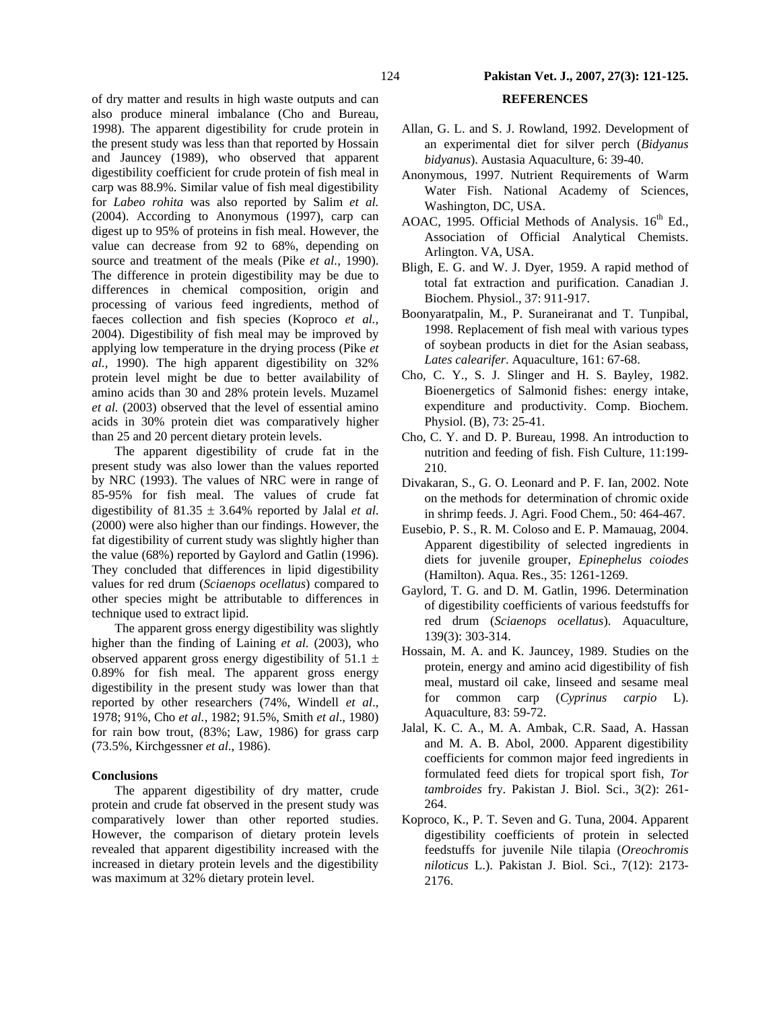of dry matter and results in high waste outputs and can also produce mineral imbalance (Cho and Bureau, 1998). The apparent digestibility for crude protein in the present study was less than that reported by Hossain and Jauncey (1989), who observed that apparent digestibility coefficient for crude protein of fish meal in carp was 88.9%. Similar value of fish meal digestibility for *Labeo rohita* was also reported by Salim *et al.* (2004). According to Anonymous (1997), carp can digest up to 95% of proteins in fish meal. However, the value can decrease from 92 to 68%, depending on source and treatment of the meals (Pike *et al.,* 1990). The difference in protein digestibility may be due to differences in chemical composition, origin and processing of various feed ingredients, method of faeces collection and fish species (Koproco *et al.,* 2004). Digestibility of fish meal may be improved by applying low temperature in the drying process (Pike *et al.,* 1990). The high apparent digestibility on 32% protein level might be due to better availability of amino acids than 30 and 28% protein levels. Muzamel *et al.* (2003) observed that the level of essential amino acids in 30% protein diet was comparatively higher than 25 and 20 percent dietary protein levels.

The apparent digestibility of crude fat in the present study was also lower than the values reported by NRC (1993). The values of NRC were in range of 85-95% for fish meal. The values of crude fat digestibility of 81.35 ± 3.64% reported by Jalal *et al*. (2000) were also higher than our findings. However, the fat digestibility of current study was slightly higher than the value (68%) reported by Gaylord and Gatlin (1996). They concluded that differences in lipid digestibility values for red drum (*Sciaenops ocellatus*) compared to other species might be attributable to differences in technique used to extract lipid.

The apparent gross energy digestibility was slightly higher than the finding of Laining *et al*. (2003), who observed apparent gross energy digestibility of  $51.1 \pm$ 0.89% for fish meal. The apparent gross energy digestibility in the present study was lower than that reported by other researchers (74%, Windell *et al*., 1978; 91%, Cho *et al.*, 1982; 91.5%, Smith *et al*., 1980) for rain bow trout, (83%; Law, 1986) for grass carp (73.5%, Kirchgessner *et al*., 1986).

#### **Conclusions**

The apparent digestibility of dry matter, crude protein and crude fat observed in the present study was comparatively lower than other reported studies. However, the comparison of dietary protein levels revealed that apparent digestibility increased with the increased in dietary protein levels and the digestibility was maximum at 32% dietary protein level.

# **REFERENCES**

- Allan, G. L. and S. J. Rowland, 1992. Development of an experimental diet for silver perch (*Bidyanus bidyanus*). Austasia Aquaculture, 6: 39-40.
- Anonymous, 1997. Nutrient Requirements of Warm Water Fish. National Academy of Sciences, Washington, DC, USA.
- AOAC, 1995. Official Methods of Analysis.  $16<sup>th</sup>$  Ed., Association of Official Analytical Chemists. Arlington. VA, USA.
- Bligh, E. G. and W. J. Dyer, 1959. A rapid method of total fat extraction and purification. Canadian J. Biochem. Physiol., 37: 911-917.
- Boonyaratpalin, M., P. Suraneiranat and T. Tunpibal, 1998. Replacement of fish meal with various types of soybean products in diet for the Asian seabass, *Lates calearifer*. Aquaculture, 161: 67-68.
- Cho, C. Y., S. J. Slinger and H. S. Bayley, 1982. Bioenergetics of Salmonid fishes: energy intake, expenditure and productivity. Comp. Biochem. Physiol. (B), 73: 25-41.
- Cho, C. Y. and D. P. Bureau, 1998. An introduction to nutrition and feeding of fish. Fish Culture, 11:199- 210.
- Divakaran, S., G. O. Leonard and P. F. Ian, 2002. Note on the methods for determination of chromic oxide in shrimp feeds. J. Agri. Food Chem., 50: 464-467.
- Eusebio, P. S., R. M. Coloso and E. P. Mamauag, 2004. Apparent digestibility of selected ingredients in diets for juvenile grouper, *Epinephelus coiodes* (Hamilton). Aqua. Res., 35: 1261-1269.
- Gaylord, T. G. and D. M. Gatlin, 1996. Determination of digestibility coefficients of various feedstuffs for red drum (*Sciaenops ocellatus*). Aquaculture, 139(3): 303-314.
- Hossain, M. A. and K. Jauncey, 1989. Studies on the protein, energy and amino acid digestibility of fish meal, mustard oil cake, linseed and sesame meal for common carp (*Cyprinus carpio* L). Aquaculture, 83: 59-72.
- Jalal, K. C. A., M. A. Ambak, C.R. Saad, A. Hassan and M. A. B. Abol, 2000. Apparent digestibility coefficients for common major feed ingredients in formulated feed diets for tropical sport fish, *Tor tambroides* fry. Pakistan J. Biol. Sci., 3(2): 261- 264.
- Koproco, K., P. T. Seven and G. Tuna, 2004. Apparent digestibility coefficients of protein in selected feedstuffs for juvenile Nile tilapia (*Oreochromis niloticus* L.). Pakistan J. Biol. Sci., 7(12): 2173- 2176.